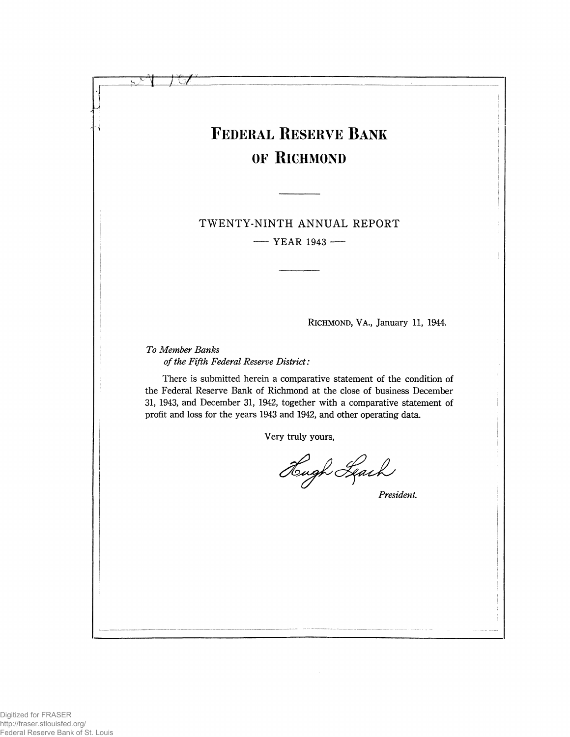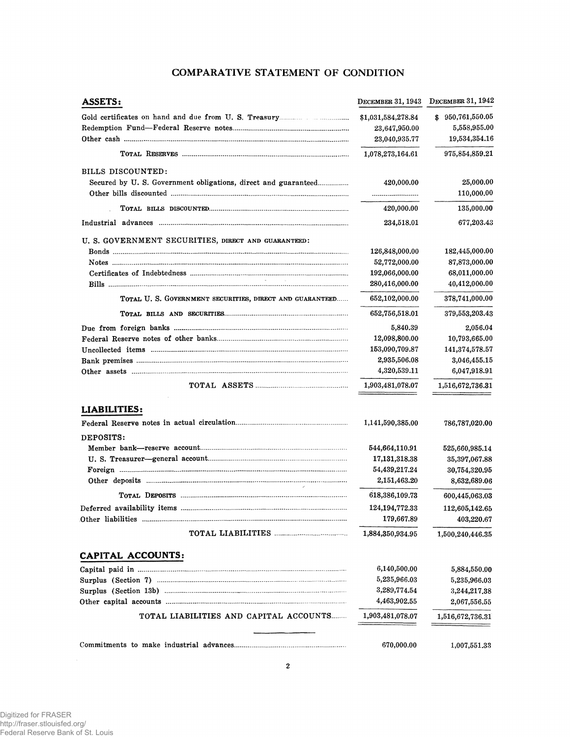# **COMPARATIVE STATEMENT OF CONDITION**

| ASSETS:                                                       | DECEMBER 31, 1943  | DECEMBER 31, 1942 |
|---------------------------------------------------------------|--------------------|-------------------|
|                                                               | \$1,031,584,278.84 | \$950,761,550.05  |
|                                                               | 23,647,950.00      | 5,558,955.00      |
|                                                               | 23,040,935.77      | 19,534,354.16     |
|                                                               | 1,078,273,164.61   | 975,854,859.21    |
| BILLS DISCOUNTED:                                             |                    |                   |
| Secured by U.S. Government obligations, direct and guaranteed | 420,000.00         | 25,000.00         |
|                                                               |                    | 110,000.00        |
|                                                               | 420,000.00         | 135,000.00        |
|                                                               | 234,518.01         | 677,203.43        |
| U. S. GOVERNMENT SECURITIES, DIRECT AND GUARANTEED:           |                    |                   |
|                                                               | 126,848,000.00     | 182,445,000.00    |
|                                                               | 52,772,000.00      | 87,873,000.00     |
|                                                               | 192,066,000.00     | 68,011,000.00     |
|                                                               | 280,416,000.00     | 40,412,000.00     |
| TOTAL U. S. GOVERNMENT SECURITIES, DIRECT AND GUARANTEED      | 652,102,000.00     | 378,741,000.00    |
|                                                               | 652,756,518.01     | 379,553,203.43    |
|                                                               | 5,840.39           | 2,056.04          |
|                                                               | 12,098,800.00      | 10,793,665.00     |
|                                                               | 153,090,709.87     | 141,374,578.57    |
|                                                               | 2,935,506.08       | 3,046,455.15      |
|                                                               | 4,320,539.11       | 6,047,918.91      |
|                                                               | 1,903,481,078.07   | 1,516,672,736.31  |
| LIABILITIES:                                                  |                    |                   |
|                                                               | 1,141,590,385.00   | 786,787,020.00    |
| DEPOSITS:                                                     |                    |                   |
|                                                               | 544,664,110.91     | 525,660,985.14    |
|                                                               | 17, 131, 318.38    | 35,397,067.88     |
|                                                               | 54,439,217.24      | 30,754,320.95     |
|                                                               | 2,151,463.20       | 8,632,689.06      |
|                                                               | 618,386,109.73     | 600,445,063.03    |
|                                                               | 124, 194, 772. 33  | 112,605,142.65    |
|                                                               | 179,667.89         | 403,220.67        |
|                                                               | 1,884,350,934.95   | 1,500,240,446.35  |
| CAPITAL ACCOUNTS:                                             |                    |                   |
|                                                               | 6,140,500.00       | 5,884,550.00      |
|                                                               | 5,235,966.03       | 5,235,966.03      |
|                                                               | 3,289,774.54       | 3,244,217.38      |
|                                                               | 4,463,902.55       | 2,067,556.55      |
| TOTAL LIABILITIES AND CAPITAL ACCOUNTS                        | 1,903,481,078.07   | 1,516,672,736.31  |
|                                                               |                    |                   |
|                                                               | 670,000.00         | 1,007,551.33      |
|                                                               |                    |                   |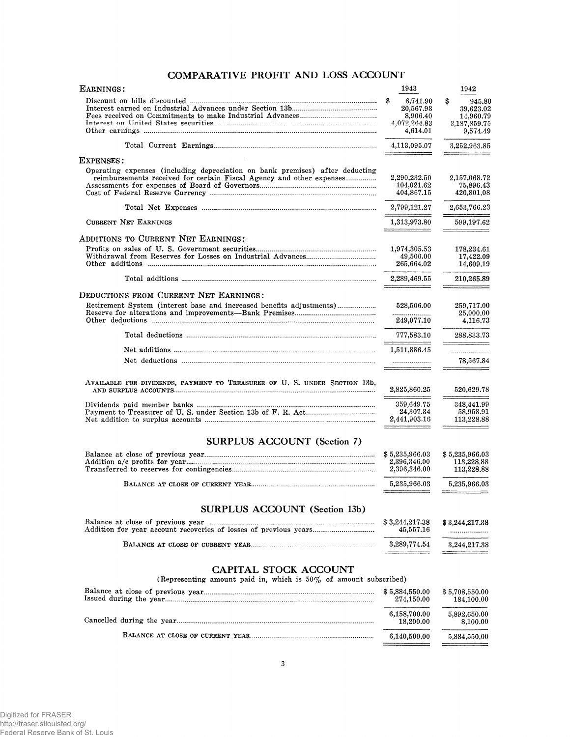# COMPARATIVE PROFIT AND LOSS ACCOUNT

| EARNINGS:                                                                                                                                            | 1943                                                                | 1942                                                               |
|------------------------------------------------------------------------------------------------------------------------------------------------------|---------------------------------------------------------------------|--------------------------------------------------------------------|
|                                                                                                                                                      | \$<br>6,741.90<br>20,567.93<br>8,906.40<br>4,072,264.83<br>4,614.01 | \$<br>945.80<br>39,623.02<br>14,960.79<br>3,187,859.75<br>9,574.49 |
|                                                                                                                                                      | 4,113,095.07                                                        | 3,252,963.85                                                       |
| EXPENSES:                                                                                                                                            |                                                                     |                                                                    |
| Operating expenses (including depreciation on bank premises) after deducting<br>reimbursements received for certain Fiscal Agency and other expenses | 2,290,232.50<br>104,021.62<br>404,867.15                            | 2,157,068.72<br>75,896.43<br>420,801.08                            |
|                                                                                                                                                      | 2,799,121.27                                                        | 2,653,766.23                                                       |
| <b>CURRENT NET EARNINGS</b>                                                                                                                          | 1,313,973.80                                                        | 599,197.62                                                         |
| ADDITIONS TO CURRENT NET EARNINGS:                                                                                                                   |                                                                     |                                                                    |
|                                                                                                                                                      | 1,974,305.53<br>49,500.00<br>265,664.02                             | 178,234.61<br>17,422.09<br>14,609.19                               |
|                                                                                                                                                      | 2,289,469.55                                                        | 210,265.89                                                         |
| DEDUCTIONS FROM CURRENT NET EARNINGS:                                                                                                                |                                                                     |                                                                    |
| Retirement System (interest base and increased benefits adjustments)                                                                                 | 528,506.00<br>---------------------<br>249,077.10                   | 259,717.00<br>25,000,00<br>4,116.73                                |
|                                                                                                                                                      | 777,583.10                                                          | 288,833.73                                                         |
|                                                                                                                                                      | 1,511,886.45                                                        |                                                                    |
|                                                                                                                                                      |                                                                     | 78,567.84                                                          |
| AVAILABLE FOR DIVIDENDS, PAYMENT TO TREASURER OF U. S. UNDER SECTION 13b,                                                                            | 2,825,860.25                                                        | 520,629.78                                                         |
|                                                                                                                                                      | 359,649.75<br>24,307.34<br>2,441,903.16                             | 348,441.99<br>58,958.91<br>113,228.88                              |
| <b>SURPLUS ACCOUNT (Section 7)</b>                                                                                                                   |                                                                     |                                                                    |
|                                                                                                                                                      | \$5,235,966.03                                                      | \$5,235,966.03                                                     |
|                                                                                                                                                      | 2,396,346.00<br>2,396,346.00                                        | 113,228.88<br>113,228.88                                           |
|                                                                                                                                                      | 5,235,966.03                                                        | 5,235,966.03                                                       |
| <b>SURPLUS ACCOUNT (Section 13b)</b>                                                                                                                 |                                                                     |                                                                    |
|                                                                                                                                                      | \$3,244,217.38<br>45,557.16                                         | \$3,244,217.38<br>.                                                |
|                                                                                                                                                      | 3,289,774.54                                                        | 3,244,217.38                                                       |
| CAPITAL STOCK ACCOUNT<br>(Representing amount paid in, which is $50\%$ of amount subscribed)                                                         |                                                                     |                                                                    |
|                                                                                                                                                      | \$5,884,550.00<br>274,150.00                                        | \$5,708,550.00<br>184,100.00                                       |
|                                                                                                                                                      | 6,158,700.00<br>18,200.00                                           | 5,892,650.00<br>8,100.00                                           |
|                                                                                                                                                      | 6,140,500.00                                                        | 5,884,550.00                                                       |
|                                                                                                                                                      |                                                                     |                                                                    |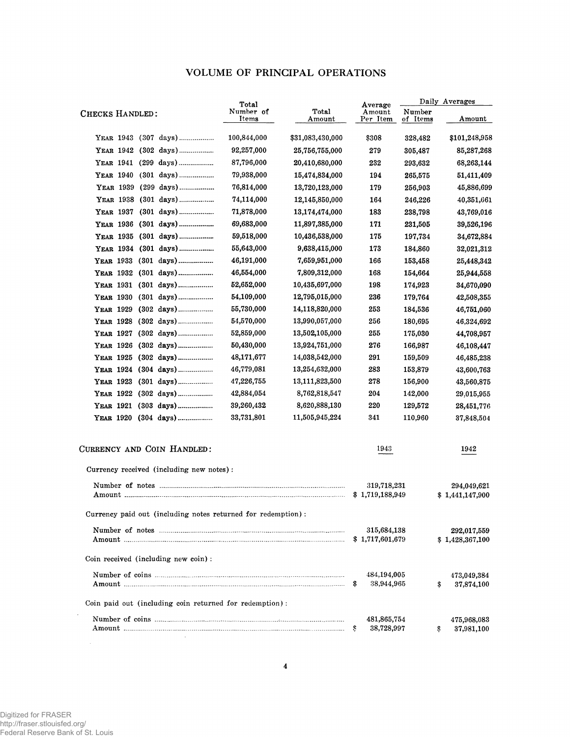# VOLUME OF PRINCIPAL OPERATIONS

|                                                                        | Total              |                  | Average                        |                    | Daily Averages                 |
|------------------------------------------------------------------------|--------------------|------------------|--------------------------------|--------------------|--------------------------------|
| CHECKS HANDLED:                                                        | Number of<br>Items | Total<br>Amount  | Amount<br>Per Item             | Number<br>of Items | Amount                         |
| YEAR 1943 (307 days)                                                   | 100,844,000        | \$31,083,430,000 | \$308                          | 328,482            | \$101,248,958                  |
| YEAR 1942 (302 days)                                                   | 92,257,000         | 25,756,755,000   | 279                            | 305,487            | 85,287,268                     |
| YEAR 1941 (299 days)                                                   | 87,796,000         | 20,410,680,000   | 232                            | 293,632            | 68,263,144                     |
| YEAR 1940 (301 days)                                                   | 79,938,000         | 15,474,834,000   | 194                            | 265,575            | 51,411,409                     |
| YEAR 1939 (299 days)                                                   | 76,814,000         | 13,720,123,000   | 179                            | 256,903            | 45,886,699                     |
| YEAR 1938 (301 days)                                                   | 74,114,000         | 12,145,850,000   | 164                            | 246,226            | 40,351,661                     |
| YEAR 1937 (301 days)                                                   | 71,878,000         | 13,174,474,000   | 183                            | 238,798            | 43,769,016                     |
| YEAR 1936 (301 days)                                                   | 69,683,000         | 11,897,385,000   | 171                            | 231,505            | 39,526,196                     |
| YEAR 1935 (301 days)                                                   | 59,518,000         | 10,436,538,000   | 175                            | 197,734            | 34,672,884                     |
| YEAR 1934 (301 days)                                                   | 55,643,000         | 9,638,415,000    | 173                            | 184,860            | 32,021,312                     |
| YEAR 1933 (301 days)                                                   | 46,191,000         | 7,659,951,000    | 166                            | 153,458            | 25,448,342                     |
| YEAR 1932 (301 days)                                                   | 46,554,000         | 7,809,312,000    | 168                            | 154,664            | 25,944,558                     |
| YEAR 1931 (301 days)                                                   | 52,652,000         | 10,435,697,000   | 198                            | 174,923            | 34,670,090                     |
| YEAR 1930 (301 days)                                                   | 54,109,000         | 12,795,015,000   | 236                            | 179,764            | 42,508,355                     |
| YEAR 1929                                                              | 55,730,000         | 14,118,820,000   | 253                            | 184,536            | 46,751,060                     |
| YEAR 1928 (302 days)                                                   | 54,570,000         | 13,990,057,000   | 256                            | 180,695            | 46,324,692                     |
| YEAR 1927 (302 days)                                                   | 52,859,000         | 13,502,105,000   | 255                            | 175,030            | 44,708,957                     |
| YEAR 1926                                                              | 50,430,000         | 13,924,751,000   | 276                            | 166,987            | 46,108,447                     |
| YEAR 1925 (302 days)                                                   | 48,171,677         | 14,038,542,000   | 291                            | 159,509            | 46,485,238                     |
| YEAR 1924 (304 days)                                                   | 46,779,081         | 13,254,632,000   | 283                            | 153,879            | 43,600,763                     |
| YEAR 1923 (301 days)                                                   | 47,226,755         | 13,111,823,500   | 278                            | 156,900            | 43,560,875                     |
| YEAR 1922 (302 days)                                                   | 42,884,054         | 8,762,818,547    | 204                            | 142,000            | 29,015,955                     |
| YEAR 1921 (303 days)                                                   | 39,260,432         | 8,620,888,130    | 220                            | 129,572            | 28,451,776                     |
| YEAR 1920 (304 days)                                                   | 33,731,801         | 11,505,945,224   | 341                            | 110,960            | 37,848,504                     |
| CURRENCY AND COIN HANDLED:<br>Currency received (including new notes): |                    |                  | 1943                           |                    | 1942                           |
|                                                                        |                    |                  |                                |                    | 294,049,621                    |
|                                                                        |                    |                  | 319,718,231                    |                    |                                |
|                                                                        |                    |                  | \$1,719,188,949                |                    | \$1,441,147,900                |
| Currency paid out (including notes returned for redemption):           |                    |                  |                                |                    |                                |
|                                                                        |                    |                  | 315,684,138<br>\$1,717,601,679 |                    | 292,017,559<br>\$1,428,367,100 |
| Coin received (including new coin):                                    |                    |                  |                                |                    |                                |
|                                                                        |                    |                  | 484,194,005<br>38,944,965<br>S |                    | 473,049,384<br>37,874,100<br>S |
| Coin paid out (including coin returned for redemption):                |                    |                  |                                |                    |                                |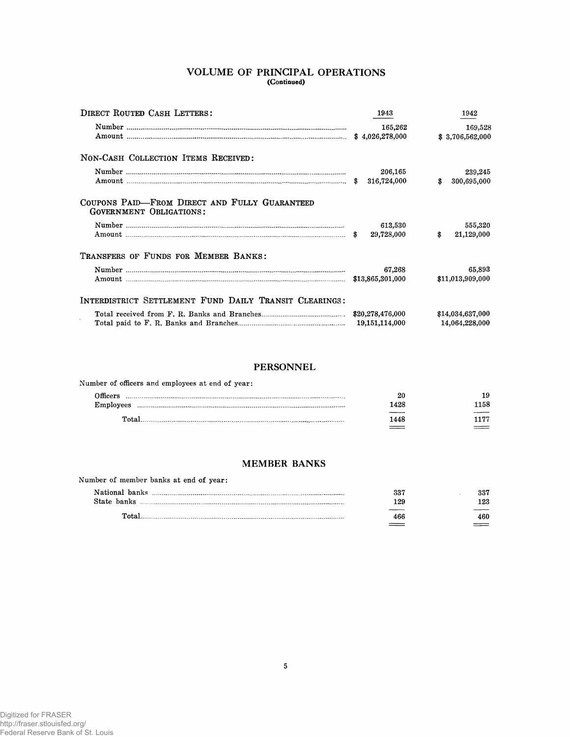# VOLUME OF PRINCIPAL OPERATIONS (Continued)

| <b>DIRECT ROUTED CASH LETTERS:</b>                                              | 1943                        | 1942                               |
|---------------------------------------------------------------------------------|-----------------------------|------------------------------------|
|                                                                                 | 165,262                     | 169,528<br>\$3,706,562,000         |
| NON-CASH COLLECTION ITEMS RECEIVED:                                             |                             |                                    |
|                                                                                 | 206,165<br>316,724,000      | 239,245<br>\$<br>300,695,000       |
| COUPONS PAID—FROM DIRECT AND FULLY GUARANTEED<br><b>GOVERNMENT OBLIGATIONS:</b> |                             |                                    |
|                                                                                 | 613,530<br>29,728,000<br>-8 | 555,320<br>\$<br>21,129,000        |
| TRANSFERS OF FUNDS FOR MEMBER BANKS:                                            |                             |                                    |
|                                                                                 | 67.268                      | 65,893<br>\$11,013,909,000         |
| INTERDISTRICT SETTLEMENT FUND DAILY TRANSIT CLEARINGS:                          |                             |                                    |
|                                                                                 |                             | \$14,034,637,000<br>14.064.228.000 |

# **PERSONNEL**

| Number of officers and employees at end of year: |      |      |
|--------------------------------------------------|------|------|
| Officers.                                        | 20   | 19   |
| Employees                                        | 1428 | 1158 |
| Total.                                           | 1448 | 177  |
|                                                  |      |      |

# **MEMBER BANKS**

| Number of member banks at end of year: |     |     |
|----------------------------------------|-----|-----|
|                                        | 337 | 337 |
| State banks                            | 129 | 123 |
| $\mathbf{T}$ ntel                      | 466 | 460 |
|                                        |     |     |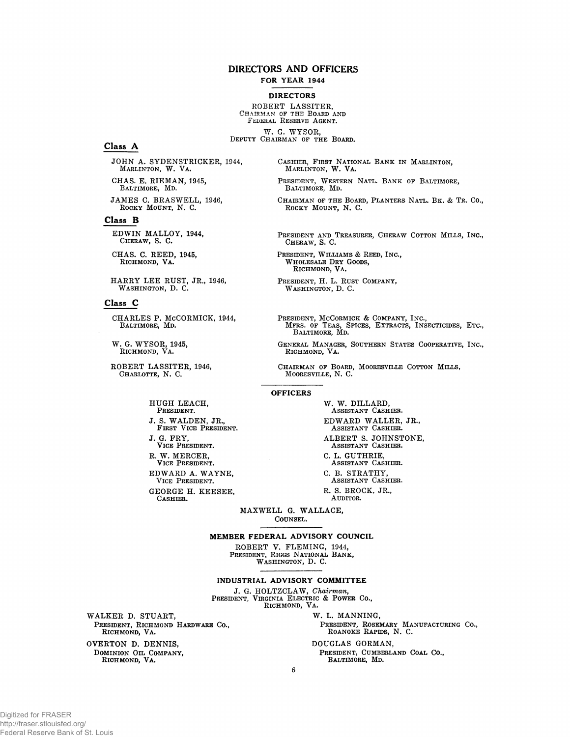#### **DIRECTORS AND OFFICERS FOR YEAR 1944**

#### **DIRECTORS**

ROBERT LASSITER,<br>CHAIRMAN OF THE BOARD AND FEDERAL RESERVE AGENT.

W. G. WYSOR, DEPUTY CHAIRMAN OF THE BOARD.

#### Class A

JOHN A. SYDENSTRICKER, 1944, MARLINTON, W. VA.

CHAS. E. RIEMAN, 1945, BALTIMORE, MD.

JAMES C. BRASWELL, 1946, ROCKY MOUNT, N. C.

#### Class B

EDWIN MALLOY, 1944, CHERAW, S. C.

CHAS. C. REED, 1945, RICHMOND, VA.

HARRY LEE RUST, JR., 1946, WASHINGTON, D. C.

### Class C

CHARLES P. MCCORMICK, 1944, BALTIMORE, MD.

W. G. WYSOR, 1945, RICHMOND, VA.

ROBERT LASSITER, 1946, CHARLOTTE, N. C.

HUGH LEACH, PRESIDENT. J. S. WALDEN, JR., FIRST VICE PRESIDENT. J. G. FRY. VICE PRESIDENT.

R. W. MERCER,<br>VICE PRESIDENT.

EDWARD A. WAYNE, VICE PRESIDENT. GEORGE H. KEESEE,

CASHIER.

W. W. DILLARD, ASSISTANT CASHIER. EDWARD WALLER, JR., ASSISTANT CASHIER. ALBERT S. JOHNSTONE, ASSISTANT CASHIER. C. L. GUTHRIE, ASSISTANT CASHIER. C. B. STRATHY. ASSISTANT CASHIER. R. S. BROCK, JR., AUDITOR.

MAXWELL G. WALLACE, COUNSEL.

MEMBER FEDERAL ADVISORY COUNCIL

ROBERT V. FLEMING, 1944, PRESIDENT, RIGGS NATIONAL BANK, WASHINGTON, D. C.

INDUSTRIAL ADVISORY COMMITTEE

J. G. HOLTZCLAW, Chairman,<br>PRESIDENT, VIRGINIA ELECTRIC & POWER CO.,<br>RICHMOND, VA.

WALKER D. STUART, PRESIDENT, RICHMOND HARDWARE CO., RICHMOND, VA.

OVERTON D. DENNIS, DOMINION OIL COMPANY,<br>RICHMOND, VA. CASHIER, FIRST NATIONAL BANK IN MARLINTON, MARLINTON, W. VA.

PRESIDENT, WESTERN NATL. BANK OF BALTIMORE, BALTIMORE, MD.

CHAIRMAN OF THE BOARD, PLANTERS NATL. BK. & TR. CO., ROCKY MOUNT, N. C.

PRESIDENT AND TREASURER, CHERAW COTTON MILLS, INC., CHERAW, S. C.

PRESIDENT, WILLIAMS & REED, INC., WHOLESALE DRY GOODS, RICHMOND, VA.

PRESIDENT, H. L. RUST COMPANY, WASHINGTON, D. C.

PRESIDENT, MCCORMICK & COMPANY, INC., MFRS. OF TEAS, SPICES, EXTRACTS, INSECTICIDES, ETC., BALTIMORE, MD.

GENERAL MANAGER, SOUTHERN STATES COOPERATIVE, INC., RICHMOND, VA.

CHAIRMAN OF BOARD, MOORESVILLE COTTON MILLS, MOORESVILLE, N. C.

#### **OFFICERS**

W. L. MANNING, PRESIDENT, ROSEMARY MANUFACTURING CO., ROANOKE RAPIDS, N. C.

DOUGLAS GORMAN, PRESIDENT, CUMBERLAND COAL CO., BALTIMORE, MD.